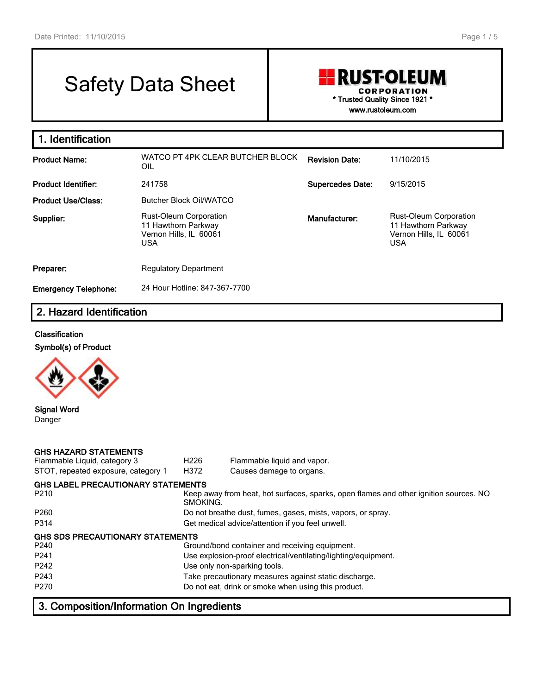# Safety Data Sheet

## **RUST-OLEUM CORPORATION \* Trusted Quality Since 1921 \* www.rustoleum.com**

**1. Identification Product Name:** WATCO PT 4PK CLEAR BUTCHER BLOCK OIL **Revision Date:** 11/10/2015 **Product Identifier:** 241758 **Supercedes Date:** 9/15/2015 **Product Use/Class:** Butcher Block Oil/WATCO **Supplier:** Rust-Oleum Corporation 11 Hawthorn Parkway Vernon Hills, IL 60061 USA **Manufacturer:** Rust-Oleum Corporation 11 Hawthorn Parkway Vernon Hills, IL 60061 USA **Preparer:** Regulatory Department **Emergency Telephone:** 24 Hour Hotline: 847-367-7700

## **2. Hazard Identification**

#### **Classification**



**Signal Word** Danger

| <b>GHS HAZARD STATEMENTS</b><br>Flammable Liquid, category 3<br>STOT, repeated exposure, category 1 | H226<br>H372 | Flammable liquid and vapor.<br>Causes damage to organs.                               |
|-----------------------------------------------------------------------------------------------------|--------------|---------------------------------------------------------------------------------------|
| <b>GHS LABEL PRECAUTIONARY STATEMENTS</b>                                                           |              |                                                                                       |
| P210                                                                                                | SMOKING.     | Keep away from heat, hot surfaces, sparks, open flames and other ignition sources. NO |
| P <sub>260</sub>                                                                                    |              | Do not breathe dust, fumes, gases, mists, vapors, or spray.                           |
| P314                                                                                                |              | Get medical advice/attention if you feel unwell.                                      |
| <b>GHS SDS PRECAUTIONARY STATEMENTS</b>                                                             |              |                                                                                       |
| P240                                                                                                |              | Ground/bond container and receiving equipment.                                        |
| P241                                                                                                |              | Use explosion-proof electrical/ventilating/lighting/equipment.                        |
| P242                                                                                                |              | Use only non-sparking tools.                                                          |
| P243                                                                                                |              | Take precautionary measures against static discharge.                                 |
| P270                                                                                                |              | Do not eat, drink or smoke when using this product.                                   |

## **3. Composition/Information On Ingredients**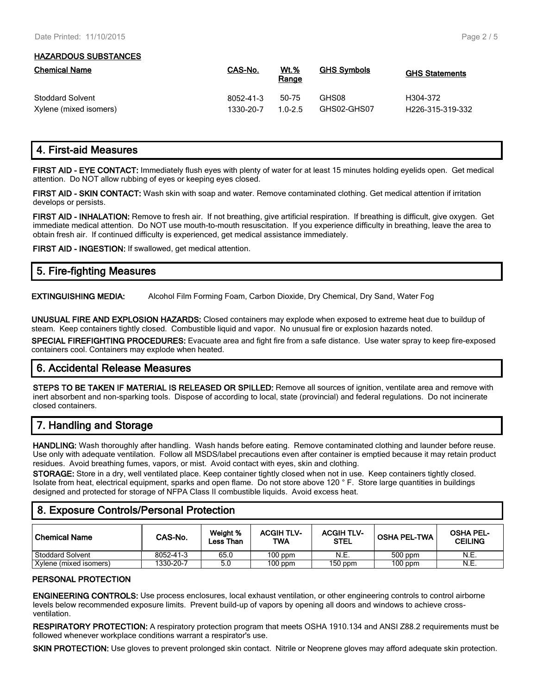#### **HAZARDOUS SUBSTANCES**

| <b>Chemical Name</b>    | CAS-No.   | <u>Wt.%</u><br>Range | <b>GHS Symbols</b> | <b>GHS Statements</b>         |
|-------------------------|-----------|----------------------|--------------------|-------------------------------|
| <b>Stoddard Solvent</b> | 8052-41-3 | 50-75                | GHS08              | H304-372                      |
| Xylene (mixed isomers)  | 1330-20-7 | $1.0 - 2.5$          | GHS02-GHS07        | H <sub>226</sub> -315-319-332 |

## **4. First-aid Measures**

**FIRST AID - EYE CONTACT:** Immediately flush eyes with plenty of water for at least 15 minutes holding eyelids open. Get medical attention. Do NOT allow rubbing of eyes or keeping eyes closed.

**FIRST AID - SKIN CONTACT:** Wash skin with soap and water. Remove contaminated clothing. Get medical attention if irritation develops or persists.

**FIRST AID - INHALATION:** Remove to fresh air. If not breathing, give artificial respiration. If breathing is difficult, give oxygen. Get immediate medical attention. Do NOT use mouth-to-mouth resuscitation. If you experience difficulty in breathing, leave the area to obtain fresh air. If continued difficulty is experienced, get medical assistance immediately.

**FIRST AID - INGESTION:** If swallowed, get medical attention.

| 5. Fire-fighting Measures |  |
|---------------------------|--|
|                           |  |

**EXTINGUISHING MEDIA:** Alcohol Film Forming Foam, Carbon Dioxide, Dry Chemical, Dry Sand, Water Fog

**UNUSUAL FIRE AND EXPLOSION HAZARDS:** Closed containers may explode when exposed to extreme heat due to buildup of steam. Keep containers tightly closed. Combustible liquid and vapor. No unusual fire or explosion hazards noted.

**SPECIAL FIREFIGHTING PROCEDURES:** Evacuate area and fight fire from a safe distance. Use water spray to keep fire-exposed containers cool. Containers may explode when heated.

## **6. Accidental Release Measures**

**STEPS TO BE TAKEN IF MATERIAL IS RELEASED OR SPILLED:** Remove all sources of ignition, ventilate area and remove with inert absorbent and non-sparking tools. Dispose of according to local, state (provincial) and federal regulations. Do not incinerate closed containers.

# **7. Handling and Storage**

**HANDLING:** Wash thoroughly after handling. Wash hands before eating. Remove contaminated clothing and launder before reuse. Use only with adequate ventilation. Follow all MSDS/label precautions even after container is emptied because it may retain product residues. Avoid breathing fumes, vapors, or mist. Avoid contact with eyes, skin and clothing.

**STORAGE:** Store in a dry, well ventilated place. Keep container tightly closed when not in use. Keep containers tightly closed. Isolate from heat, electrical equipment, sparks and open flame. Do not store above 120 ° F. Store large quantities in buildings designed and protected for storage of NFPA Class II combustible liquids. Avoid excess heat.

## **8. Exposure Controls/Personal Protection**

| l Chemical Name        | CAS-No.   | Weight %<br>Less Than | <b>ACGIH TLV-</b><br><b>TWA</b> | <b>ACGIH TLV-</b><br><b>STEL</b> | <b>OSHA PEL-TWA</b> | <b>OSHA PEL-</b><br><b>CEILING</b> |
|------------------------|-----------|-----------------------|---------------------------------|----------------------------------|---------------------|------------------------------------|
| Stoddard Solvent       | 8052-41-3 | 65.0                  | $100$ ppm                       | N.E.                             | 500 ppm             | N.E.                               |
| Xylene (mixed isomers) | 1330-20-7 | 5.0                   | $100$ ppm                       | $150$ ppm                        | $100$ ppm           | N.E.                               |

#### **PERSONAL PROTECTION**

**ENGINEERING CONTROLS:** Use process enclosures, local exhaust ventilation, or other engineering controls to control airborne levels below recommended exposure limits. Prevent build-up of vapors by opening all doors and windows to achieve crossventilation.

**RESPIRATORY PROTECTION:** A respiratory protection program that meets OSHA 1910.134 and ANSI Z88.2 requirements must be followed whenever workplace conditions warrant a respirator's use.

**SKIN PROTECTION:** Use gloves to prevent prolonged skin contact. Nitrile or Neoprene gloves may afford adequate skin protection.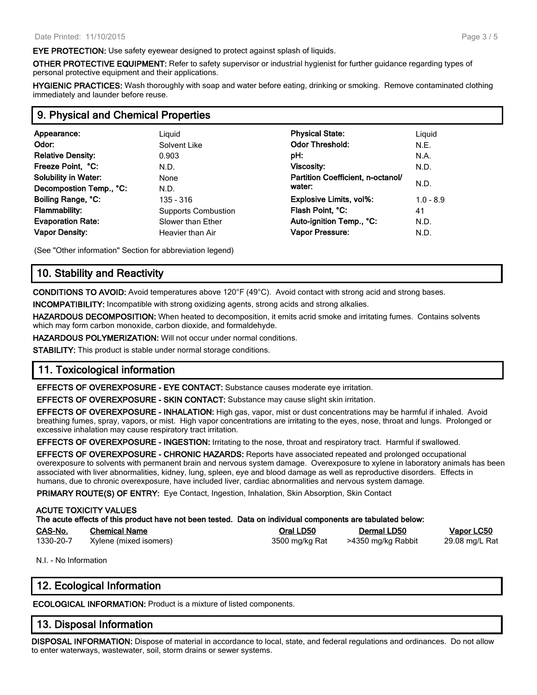**EYE PROTECTION:** Use safety eyewear designed to protect against splash of liquids.

**OTHER PROTECTIVE EQUIPMENT:** Refer to safety supervisor or industrial hygienist for further guidance regarding types of personal protective equipment and their applications.

**HYGIENIC PRACTICES:** Wash thoroughly with soap and water before eating, drinking or smoking. Remove contaminated clothing immediately and launder before reuse.

#### **9. Physical and Chemical Properties**

| Appearance:                 | Liguid                     | <b>Physical State:</b>            | Liguid      |
|-----------------------------|----------------------------|-----------------------------------|-------------|
| Odor:                       | Solvent Like               | <b>Odor Threshold:</b>            | N.E.        |
| <b>Relative Density:</b>    | 0.903                      | pH:                               | N.A.        |
| Freeze Point, °C:           | N.D.                       | Viscosity:                        | N.D.        |
| <b>Solubility in Water:</b> | None                       | Partition Coefficient, n-octanol/ |             |
| Decompostion Temp., °C:     | N.D.                       | water:                            | N.D.        |
| Boiling Range, °C:          | 135 - 316                  | <b>Explosive Limits, vol%:</b>    | $1.0 - 8.9$ |
| <b>Flammability:</b>        | <b>Supports Combustion</b> | Flash Point, °C:                  | 41          |
| <b>Evaporation Rate:</b>    | Slower than Ether          | Auto-ignition Temp., °C:          | N.D.        |
| <b>Vapor Density:</b>       | Heavier than Air           | <b>Vapor Pressure:</b>            | N.D.        |

(See "Other information" Section for abbreviation legend)

## **10. Stability and Reactivity**

**CONDITIONS TO AVOID:** Avoid temperatures above 120°F (49°C). Avoid contact with strong acid and strong bases.

**INCOMPATIBILITY:** Incompatible with strong oxidizing agents, strong acids and strong alkalies.

**HAZARDOUS DECOMPOSITION:** When heated to decomposition, it emits acrid smoke and irritating fumes. Contains solvents which may form carbon monoxide, carbon dioxide, and formaldehyde.

**HAZARDOUS POLYMERIZATION:** Will not occur under normal conditions.

**STABILITY:** This product is stable under normal storage conditions.

### **11. Toxicological information**

**EFFECTS OF OVEREXPOSURE - EYE CONTACT:** Substance causes moderate eye irritation.

**EFFECTS OF OVEREXPOSURE - SKIN CONTACT:** Substance may cause slight skin irritation.

**EFFECTS OF OVEREXPOSURE - INHALATION:** High gas, vapor, mist or dust concentrations may be harmful if inhaled. Avoid breathing fumes, spray, vapors, or mist. High vapor concentrations are irritating to the eyes, nose, throat and lungs. Prolonged or excessive inhalation may cause respiratory tract irritation.

**EFFECTS OF OVEREXPOSURE - INGESTION:** Irritating to the nose, throat and respiratory tract. Harmful if swallowed.

**EFFECTS OF OVEREXPOSURE - CHRONIC HAZARDS:** Reports have associated repeated and prolonged occupational overexposure to solvents with permanent brain and nervous system damage. Overexposure to xylene in laboratory animals has been associated with liver abnormalities, kidney, lung, spleen, eye and blood damage as well as reproductive disorders. Effects in humans, due to chronic overexposure, have included liver, cardiac abnormalities and nervous system damage.

**PRIMARY ROUTE(S) OF ENTRY:** Eye Contact, Ingestion, Inhalation, Skin Absorption, Skin Contact

#### **ACUTE TOXICITY VALUES The acute effects of this product have not been tested. Data on individual components are tabulated below: CAS-No. Chemical Name Oral LD50 Dermal LD50 Vapor LC50** 1330-20-7 Xylene (mixed isomers) 3500 mg/kg Rat >4350 mg/kg Rabbit 29.08 mg/L Rat

N.I. - No Information

## **12. Ecological Information**

**ECOLOGICAL INFORMATION:** Product is a mixture of listed components.

### **13. Disposal Information**

**DISPOSAL INFORMATION:** Dispose of material in accordance to local, state, and federal regulations and ordinances. Do not allow to enter waterways, wastewater, soil, storm drains or sewer systems.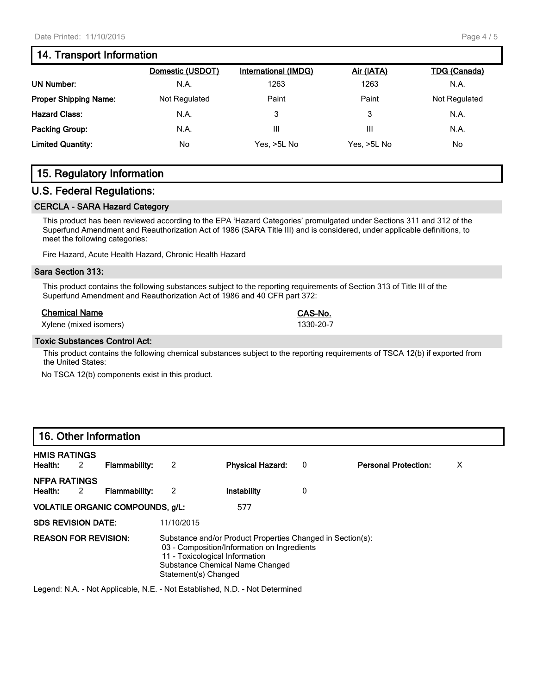## **14. Transport Information**

|                              | Domestic (USDOT) | International (IMDG) | Air (IATA)  | <b>TDG (Canada)</b> |
|------------------------------|------------------|----------------------|-------------|---------------------|
| <b>UN Number:</b>            | N.A.             | 1263                 | 1263        | N.A.                |
| <b>Proper Shipping Name:</b> | Not Regulated    | Paint                | Paint       | Not Regulated       |
| <b>Hazard Class:</b>         | N.A.             | 3                    | 3           | N.A.                |
| Packing Group:               | N.A.             | Ш                    | Ш           | N.A.                |
| <b>Limited Quantity:</b>     | No               | Yes, >5L No          | Yes. >5L No | No.                 |
|                              |                  |                      |             |                     |

# **15. Regulatory Information**

#### **U.S. Federal Regulations:**

#### **CERCLA - SARA Hazard Category**

This product has been reviewed according to the EPA 'Hazard Categories' promulgated under Sections 311 and 312 of the Superfund Amendment and Reauthorization Act of 1986 (SARA Title III) and is considered, under applicable definitions, to meet the following categories:

Fire Hazard, Acute Health Hazard, Chronic Health Hazard

#### **Sara Section 313:**

This product contains the following substances subject to the reporting requirements of Section 313 of Title III of the Superfund Amendment and Reauthorization Act of 1986 and 40 CFR part 372:

#### **Chemical Name CAS-No.**

Xylene (mixed isomers) 1330-20-7

#### **Toxic Substances Control Act:**

This product contains the following chemical substances subject to the reporting requirements of TSCA 12(b) if exported from the United States:

No TSCA 12(b) components exist in this product.

### **16. Other Information**

| <b>HMIS RATINGS</b><br>2<br>Health: | Flammability:        | 2                    | <b>Physical Hazard:</b>                                                                                                                                                        | 0 | <b>Personal Protection:</b> | х |
|-------------------------------------|----------------------|----------------------|--------------------------------------------------------------------------------------------------------------------------------------------------------------------------------|---|-----------------------------|---|
| <b>NFPA RATINGS</b><br>2<br>Health: | <b>Flammability:</b> | 2                    | Instability                                                                                                                                                                    | 0 |                             |   |
| VOLATILE ORGANIC COMPOUNDS, g/L:    |                      |                      | 577                                                                                                                                                                            |   |                             |   |
| <b>SDS REVISION DATE:</b>           |                      | 11/10/2015           |                                                                                                                                                                                |   |                             |   |
| <b>REASON FOR REVISION:</b>         |                      | Statement(s) Changed | Substance and/or Product Properties Changed in Section(s):<br>03 - Composition/Information on Ingredients<br>11 - Toxicological Information<br>Substance Chemical Name Changed |   |                             |   |

Legend: N.A. - Not Applicable, N.E. - Not Established, N.D. - Not Determined